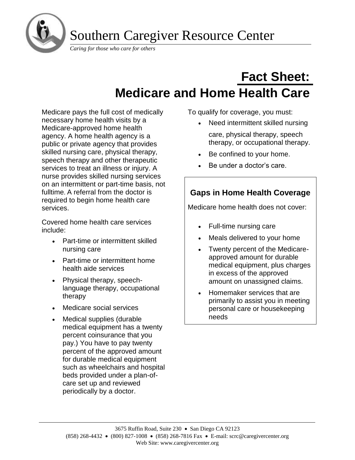

# **Fact Sheet: Medicare and Home Health Care**

Medicare pays the full cost of medically necessary home health visits by a Medicare-approved home health agency. A home health agency is a public or private agency that provides skilled nursing care, physical therapy, speech therapy and other therapeutic services to treat an illness or injury. A nurse provides skilled nursing services on an intermittent or part-time basis, not fulltime. A referral from the doctor is required to begin home health care services.

Covered home health care services include:

- Part-time or intermittent skilled nursing care
- Part-time or intermittent home health aide services
- Physical therapy, speechlanguage therapy, occupational therapy
- Medicare social services
- Medical supplies (durable medical equipment has a twenty percent coinsurance that you pay.) You have to pay twenty percent of the approved amount for durable medical equipment such as wheelchairs and hospital beds provided under a plan-ofcare set up and reviewed periodically by a doctor.

To qualify for coverage, you must:

- Need intermittent skilled nursing care, physical therapy, speech therapy, or occupational therapy.
- Be confined to your home.
- Be under a doctor's care.

## **Gaps in Home Health Coverage**

Medicare home health does not cover:

- Full-time nursing care
- Meals delivered to your home
- Twenty percent of the Medicareapproved amount for durable medical equipment, plus charges in excess of the approved amount on unassigned claims.
- Homemaker services that are primarily to assist you in meeting personal care or housekeeping needs